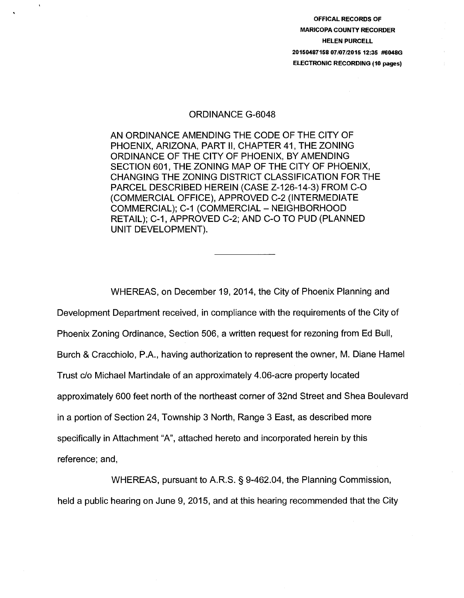OFFICAL RECORDS OF MARICOPA COUNTY RECORDER HELEN PURCELL 20150487158 07/07/2015 12:35 #6048G ELECTRONIC RECORDING (10 pages)

## ORDINANCE G-6048

 $\overline{\mathbf{1}}$ 

AN ORDINANCE AMENDING THE CODE OF THE CITY OF PHOENIX, ARIZONA, PART II, CHAPTER 41, THE ZONING ORDINANCE OF THE CITY OF PHOENIX, BY AMENDING SECTION 601, THE ZONING MAP OF THE CITY OF PHOENIX, CHANGING THE ZONING DISTRICT CLASSIFICATION FOR THE PARCEL DESCRIBED HEREIN (CASE Z-126-14-3) FROM C-0 (COMMERCIAL OFFICE), APPROVED C-2 (INTERMEDIATE COMMERCIAL); C-1 (COMMERCIAL - NEIGHBORHOOD RETAIL); C-1, APPROVED C-2; AND C-0 TO PUD (PLANNED UNIT DEVELOPMENT).

WHEREAS, on December 19, 2014, the City of Phoenix Planning and Development Department received, in compliance with the requirements of the City of Phoenix Zoning Ordinance, Section 506, a written request for rezoning from Ed Bull, Burch & Cracchiolo, P.A., having authorization to represent the owner, M. Diane Hamel Trust c/o Michael Martindale of an approximately 4.06-acre property located approximately 600 feet north of the northeast corner of 32nd Street and Shea Boulevard in a portion of Section 24, Township 3 North, Range 3 East, as described more specifically in Attachment "A", attached hereto and incorporated herein by this reference; and,

WHEREAS, pursuant to A.R.S. § 9-462.04, the Planning Commission, held a public hearing on June 9, 2015, and at this hearing recommended that the City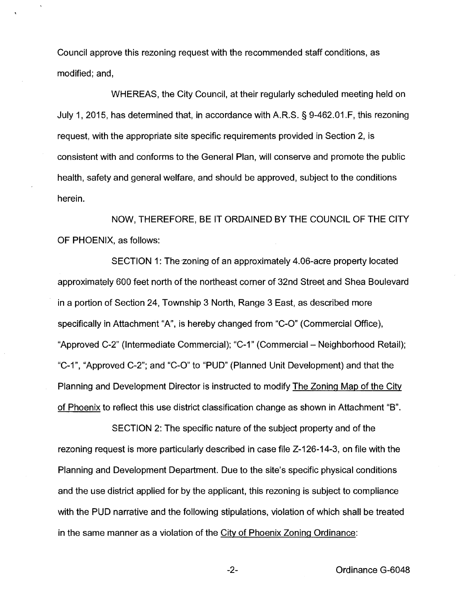Council approve this rezoning request with the recommended staff conditions, as modified; and,

WHEREAS, the City Council, at their regularly scheduled meeting held on July 1, 2015, has determined that, in accordance with A.R.S. § 9-462.01.F, this rezoning request, with the appropriate site specific requirements provided in Section 2, is consistent with and conforms to the General Plan, will conserve and promote the public health, safety and general welfare, and should be approved, subject to the conditions herein.

NOW, THEREFORE, BE IT ORDAINED BY THE COUNCIL OF THE CITY OF PHOENIX, as follows:

SECTION 1: The zoning of an approximately 4.06-acre property located approximately 600 feet north of the northeast corner of 32nd Street and Shea Boulevard in a portion of Section 24, Township 3 North, Range 3 East, as described more specifically in Attachment "A", is hereby changed from "C-0" (Commercial Office), "Approved C-2" (Intermediate Commercial); "C-1" (Commercial- Neighborhood Retail); "C-1", "Approved C-2"; and "C-0" to "PUD" (Planned Unit Development) and that the Planning and Development Director is instructed to modify The Zoning Map of the City of Phoenix to reflect this use district classification change as shown in Attachment "B".

SECTION 2: The specific nature of the subject property and of the rezoning request is more particularly described in case file Z-126-14-3, on file with the Planning and Development Department. Due to the site's specific physical conditions and the use district applied for by the applicant, this rezoning is subject to compliance with the PUD narrative and the following stipulations, violation of which shall be treated in the same manner as a violation of the City of Phoenix Zoning Ordinance: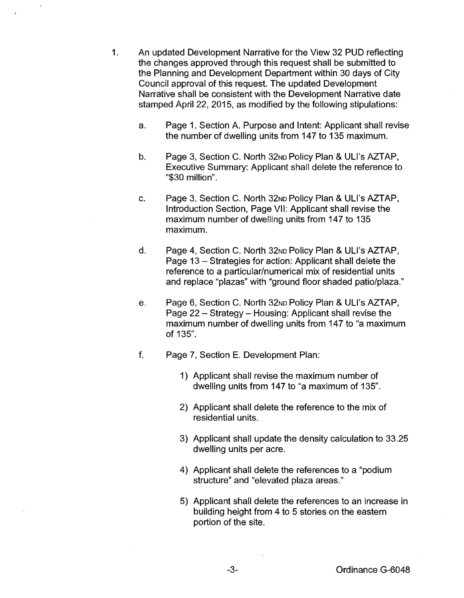- 1. An updated Development Narrative for the View 32 PUD reflecting the changes approved through this request shall be submitted to the Planning and Development Department within 30 days of City Council approval of this request. The updated Development Narrative shall be consistent with the Development Narrative date stamped April 22, 2015, as modified by the following stipulations:
	- a. Page 1, Section A. Purpose and Intent: Applicant shall revise the number of dwelling units from 147 to 135 maximum.
	- b. Page 3, Section C. North 32<sub>ND</sub> Policy Plan & ULI's AZTAP, Executive Summary: Applicant shall delete the reference to "\$30 million".
	- c. Page 3, Section C. North 32No Policy Plan & ULI's AZTAP, Introduction Section, Page VII: Applicant shall revise the maximum number of dwelling units from 147 to 135 maximum.
	- d. Page 4, Section C. North 32<sub>ND</sub> Policy Plan & ULI's AZTAP. Page 13 - Strategies for action: Applicant shall delete the reference to a particular/numerical mix of residential units and replace "plazas" with "ground floor shaded patio/plaza."
	- e. Page 6, Section C. North 32No Policy Plan & ULI's AZTAP, Page 22 - Strategy - Housing: Applicant shall revise the maximum number of dwelling units from 147 to "a maximum of 135".
	- f. Page 7, Section E. Development Plan:
		- 1) Applicant shall revise the maximum number of dwelling units from 147 to "a maximum of 135".
		- 2) Applicant shall delete the reference to the mix of residential units.
		- 3} Applicant shall update the density calculation to 33.25 dwelling units per acre.
		- 4) Applicant shall delete the references to a "podium structure" and "elevated plaza areas."
		- 5) Applicant shall delete the references to an increase in building height from 4 to 5 stories on the eastern portion of the site.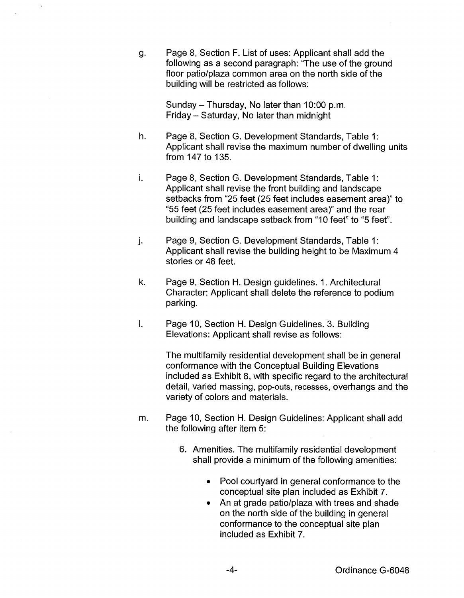g. Page 8, Section F. List of uses: Applicant shall add the following as a second paragraph: "The use of the ground floor patio/plaza common area on the north side of the building will be restricted as follows:

> Sunday- Thursday, No later than 10:00 p.m. Friday- Saturday, No later than midnight

- h. Page 8, Section G. Development Standards, Table 1: Applicant shall revise the maximum number of dwelling units from 147 to 135.
- i. Page 8, Section G. Development Standards, Table 1: Applicant shall revise the front building and landscape setbacks from "25 feet (25 feet includes easement area)" to "55 feet (25 feet includes easement area)" and the rear building and landscape setback from "10 feet" to "5 feet".
- j. Page 9, Section G. Development Standards, Table 1: Applicant shall revise the building height to be Maximum 4 stories or 48 feet.
- k. Page 9, Section H. Design guidelines. 1. Architectural Character: Applicant shall delete the reference to podium parking.
- I. Page 10, Section H. Design Guidelines. 3. Building Elevations: Applicant shall revise as follows:

The multifamily residential development shall be in general conformance with the Conceptual Building Elevations included as Exhibit 8, with specific regard to the architectural detail, varied massing, pop-outs, recesses, overhangs and the variety of colors and materials.

- m. Page 10, Section H. Design Guidelines: Applicant shall add the following after item 5:
	- 6. Amenities. The multifamily residential development shall provide a minimum of the following amenities:
		- Pool courtyard in general conformance to the conceptual site plan included as Exhibit 7.
		- An at grade patio/plaza with trees and shade on the north side of the building in general conformance to the conceptual site plan included as Exhibit 7.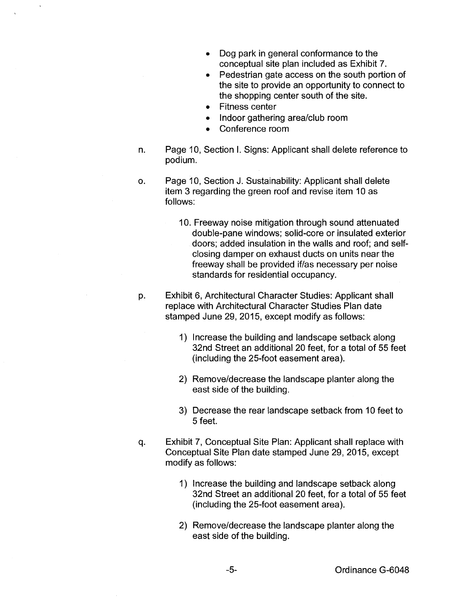- Dog park in general conformance to the conceptual site plan included as Exhibit 7.
- Pedestrian gate access on the south portion of the site to provide an opportunity to connect to the shopping center south of the site.
- Fitness center
- Indoor gathering area/club room
- Conference room
- n. Page 10, Section I. Signs: Applicant shall delete reference to podium.
- o. Page 10, Section J. Sustainability: Applicant shall delete item 3 regarding the green roof and revise item 10 as follows:
	- 10. Freeway noise mitigation through sound attenuated double-pane windows; solid-core or insulated exterior doors; added insulation in the walls and roof; and selfclosing damper on exhaust ducts on units near the freeway shall be provided if/as necessary per noise standards for residential occupancy.
- p. Exhibit 6, Architectural Character Studies: Applicant shall replace with Architectural Character Studies Plan date stamped June 29, 2015, except modify as follows:
	- 1) Increase the building and landscape setback along 32nd Street an additional 20 feet, for a total of 55 feet (including the 25-foot easement area).
	- 2) Remove/decrease the landscape planter along the east side of the building.
	- 3) Decrease the rear landscape setback from 10 feet to 5 feet.
- q. Exhibit 7, Conceptual Site Plan: Applicant shall replace with Conceptual Site Plan date stamped June 29, 2015, except modify as follows:
	- 1) Increase the building and landscape setback along 32nd Street an additional 20 feet, for a total of 55 feet (including the 25-foot easement area).
	- 2) Remove/decrease the landscape planter along the east side of the building.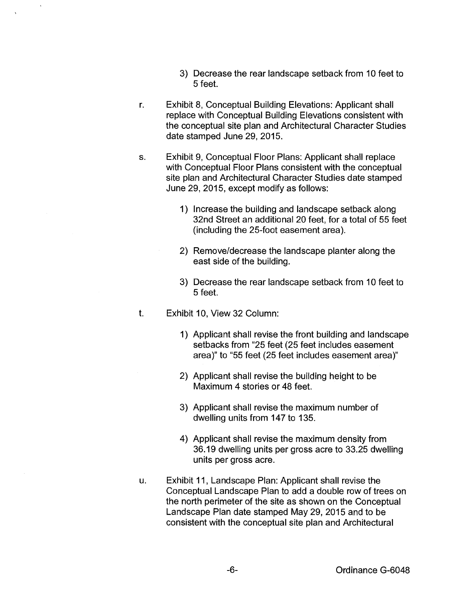- 3) Decrease the rear landscape setback from 10 feet to 5 feet.
- r. Exhibit 8, Conceptual Building Elevations: Applicant shall replace with Conceptual Building Elevations consistent with the conceptual site plan and Architectural Character Studies date stamped June 29, 2015.
- s. Exhibit 9, Conceptual Floor Plans: Applicant shall replace with Conceptual Floor Plans consistent with the conceptual site plan and Architectural Character Studies date stamped June 29, 2015, except modify as follows:
	- 1) Increase the building and landscape setback along 32nd Street an additional 20 feet, for a total of 55 feet (including the 25-foot easement area).
	- 2) Remove/decrease the landscape planter along the east side of the building.
	- 3) Decrease the rear landscape setback from 10 feet to 5 feet.
- t. Exhibit 10, View 32 Column:
	- 1) Applicant shall revise the front building and landscape setbacks from "25 feet (25 feet includes easement area)" to "55 feet (25 feet includes easement area)"
	- 2) Applicant shall revise the building height to be Maximum 4 stories or 48 feet.
	- 3) Applicant shall revise the maximum number of dwelling units from 147 to 135.
	- 4) Applicant shall revise the maximum density from 36.19 dwelling units per gross acre to 33.25 dwelling units per gross acre.
- u. Exhibit 11, Landscape Plan: Applicant shall revise the Conceptual Landscape Plan to add a double row of trees on the north perimeter of the site as shown on the Conceptual Landscape Plan date stamped May 29, 2015 and to be consistent with the conceptual site plan and Architectural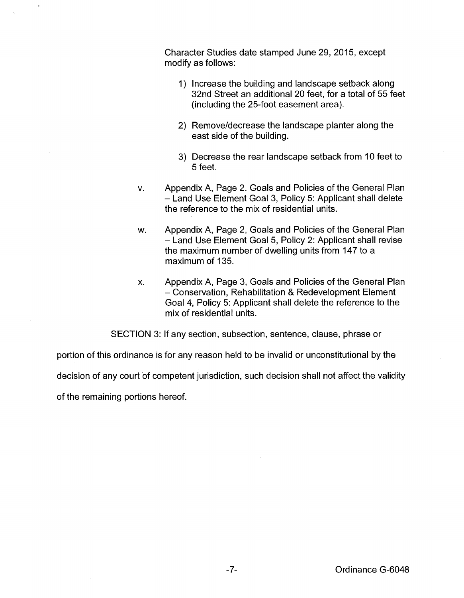Character Studies date stamped June 29, 2015, except modify as follows:

- 1) Increase the building and landscape setback along 32nd Street an additional 20 feet, for a total of 55 feet (including the 25-foot easement area).
- 2) Remove/decrease the landscape planter along the east side of the building.
- 3) Decrease the rear landscape setback from 10 feet to 5 feet.
- v. Appendix A, Page 2, Goals and Policies of the General Plan - Land Use Element Goal 3, Policy 5: Applicant shall delete the reference to the mix of residential units.
- w. Appendix A, Page 2, Goals and Policies of the General Plan - Land Use Element Goal 5, Policy 2: Applicant shall revise the maximum number of dwelling units from 147 to a maximum of 135.
- x. Appendix A, Page 3, Goals and Policies of the General Plan -Conservation, Rehabilitation & Redevelopment Element Goal 4, Policy 5: Applicant shall delete the reference to the mix of residential units.

SECTION 3: If any section, subsection, sentence, clause, phrase or

portion of this ordinance is for any reason held to be invalid or unconstitutional by the

decision of any court of competent jurisdiction, such decision shall not affect the validity

of the remaining portions hereof.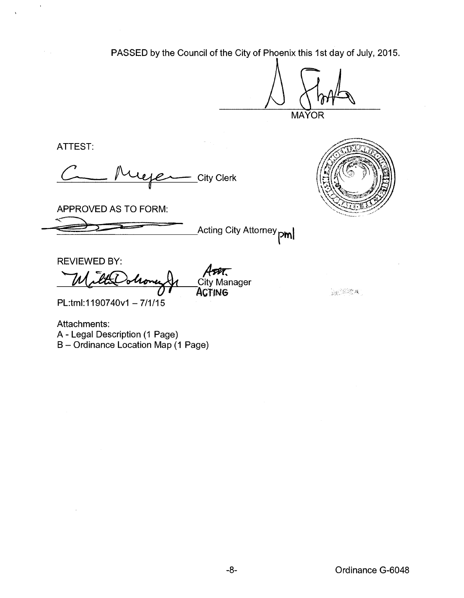PASSED by the Council of the City of Phoenix this 1st day of July, 2015.

**MAYOR** 

ATTEST:

 $\ddot{\phantom{1}}$ 

 $\mathcal{F}(\mathcal{A})$ 

City Clerk



深深深

APPROVED AS TO FORM:

-5:>~~~, ~~~L~~il::~=== :=:= :"""=-----'Acting City Attorney **ptnl** 

REVIEWED BY:

REVIEWED BY:<br>MatteOohone Je City Mana  $\overline{\mathcal{A}}$ ser $\overline{\mathcal{C}}$ ity Manager ACTING

PL:tml: 1190740v1 - 7/1/15

Attachments: A- Legal Description (1 Page) B- Ordinance Location Map (1 Page)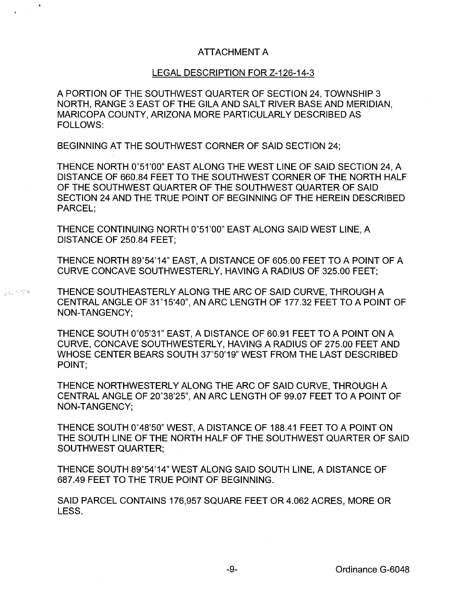## ATTACHMENT A

## LEGAL DESCRIPTION FOR Z-126-14-3

A PORTION OF THE SOUTHWEST QUARTER OF SECTION 24, TOWNSHIP 3 NORTH, RANGE 3 EAST OF THE GILA AND SALT RIVER BASE AND MERIDIAN, MARICOPA COUNTY, ARIZONA MORE PARTICULARLY DESCRIBED AS FOLLOWS:

BEGINNING AT THE SOUTHWEST CORNER OF SAID SECTION 24;

THENCE NORTH 0°51'00" EAST ALONG THE WEST LINE OF SAID SECTION 24, A DISTANCE OF 660.84 FEET TO THE SOUTHWEST CORNER OF THE NORTH HALF OF THE SOUTHWEST QUARTER OF THE SOUTHWEST QUARTER OF SAID SECTION 24 AND THE TRUE POINT OF BEGINNING OF THE HEREIN DESCRIBED PARCEL;

THENCE CONTINUING NORTH 0°51 '00" EAST ALONG SAID WEST LINE, A DISTANCE OF 250.84 FEET;

THENCE NORTH 89°54'14" EAST, A DISTANCE OF 605.00 FEET TO A POINT OF A CURVE CONCAVE SOUTHWESTERLY, HAVING A RADIUS OF 325.00 FEET;

**A FIRM THENCE SOUTHEASTERLY ALONG THE ARC OF SAID CURVE, THROUGH A** CENTRAL ANGLE OF 31 °15'40", AN ARC LENGTH OF 177.32 FEET TO A POINT OF NON-TANGENCY;

> THENCE SOUTH 0°05'31" EAST, A DISTANCE OF 60.91 FEET TO A POINT ON A CURVE, CONCAVE SOUTHWESTERLY, HAVING A RADIUS OF 275.00 FEET AND WHOSE CENTER BEARS SOUTH 37°50'19" WEST FROM THE LAST DESCRIBED POINT;

> THENCE NORTHWESTERLY ALONG THE ARC OF SAID CURVE, THROUGH A CENTRAL ANGLE OF 20°38'25", AN ARC LENGTH OF 99.07 FEET TO A POINT OF NON-TANGENCY;

THENCE SOUTH 0°48'50" WEST, A DISTANCE OF 188.41 FEET TO A POINT ON THE SOUTH LINE OF THE NORTH HALF OF THE SOUTHWEST QUARTER OF SAID SOUTHWEST QUARTER;

THENCE SOUTH 89°54'14" WEST ALONG SAID SOUTH LINE, A DISTANCE OF 687.49 FEET TO THE TRUE POINT OF BEGINNING.

SAID PARCEL CONTAINS 176,957 SQUARE FEET OR 4.062 ACRES, MORE OR LESS.